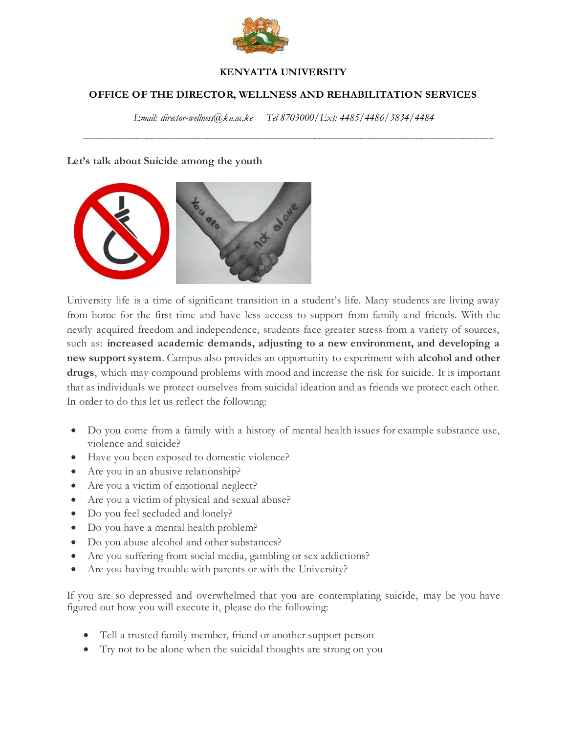

### **KENYATTA UNIVERSITY**

## **OFFICE OF THE DIRECTOR, WELLNESS AND REHABILITATION SERVICES**

*Email: director-wellness@ku.ac.ke Tel 8703000/Ext: 4485/4486/3834/4484*

*\_\_\_\_\_\_\_\_\_\_\_\_\_\_\_\_\_\_\_\_\_\_\_\_\_\_\_\_\_\_\_\_\_\_\_\_\_\_\_\_\_\_\_\_\_\_\_\_\_\_\_\_\_\_\_\_\_\_\_\_\_\_\_\_\_\_\_\_\_\_\_\_\_\_\_\_\_\_\_\_*

#### **Let's talk about Suicide among the youth**



University life is a time of significant transition in a student's life. Many students are living away from home for the first time and have less access to support from family and friends. With the newly acquired freedom and independence, students face greater stress from a variety of sources, such as: **increased academic demands, adjusting to a new environment, and developing a new support system**. Campus also provides an opportunity to experiment with **alcohol and other drugs**, which may compound problems with mood and increase the risk for suicide. It is important that as individuals we protect ourselves from suicidal ideation and as friends we protect each other. In order to do this let us reflect the following:

- Do you come from a family with a history of mental health issues for example substance use, violence and suicide?
- Have you been exposed to domestic violence?
- Are you in an abusive relationship?
- Are you a victim of emotional neglect?
- Are you a victim of physical and sexual abuse?
- Do you feel secluded and lonely?
- Do you have a mental health problem?
- Do you abuse alcohol and other substances?
- Are you suffering from social media, gambling or sex addictions?
- Are you having trouble with parents or with the University?

If you are so depressed and overwhelmed that you are contemplating suicide, may be you have figured out how you will execute it, please do the following:

- Tell a trusted family member, friend or another support person
- Try not to be alone when the suicidal thoughts are strong on you